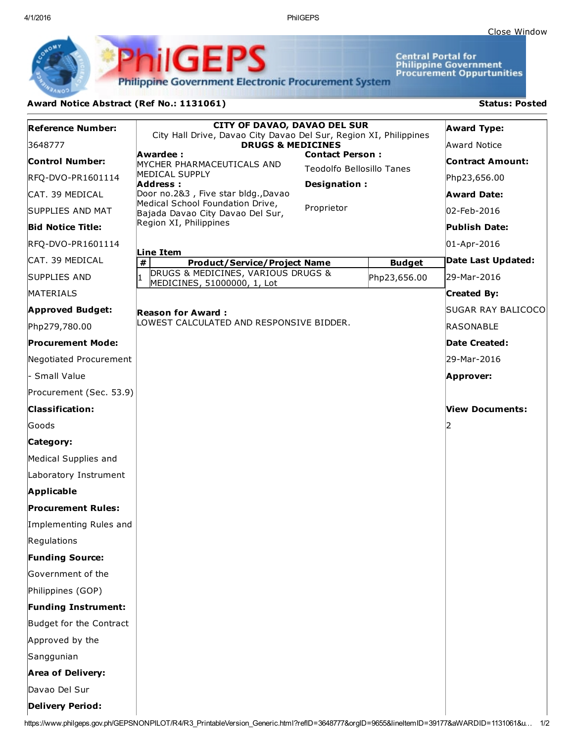4/1/2016 PhilGEPS

Central Portal for<br>Philippine Government<br>Procurement Oppurtunities

**Philippine Government Electronic Procurement System** 

PhilGEPS

## Award Notice Abstract (Ref No.: 1131061) Status: Posted

| <b>Reference Number:</b>   | <b>CITY OF DAVAO, DAVAO DEL SUR</b><br>City Hall Drive, Davao City Davao Del Sur, Region XI, Philippines |                                                            |               | <b>Award Type:</b>      |
|----------------------------|----------------------------------------------------------------------------------------------------------|------------------------------------------------------------|---------------|-------------------------|
| 3648777                    | <b>DRUGS &amp; MEDICINES</b>                                                                             |                                                            |               | Award Notice            |
| Control Number:            | Awardee:<br>MYCHER PHARMACEUTICALS AND                                                                   | <b>Contact Person:</b><br><b>Teodolfo Bellosillo Tanes</b> |               | <b>Contract Amount:</b> |
| RFQ-DVO-PR1601114          | MEDICAL SUPPLY<br>Address:                                                                               | Designation:                                               |               | Php23,656.00            |
| ICAT. 39 MEDICAL           | Door no.2&3, Five star bldg., Davao                                                                      |                                                            |               | <b>Award Date:</b>      |
| SUPPLIES AND MAT           | Medical School Foundation Drive,<br>Bajada Davao City Davao Del Sur,                                     | Proprietor                                                 |               | 02-Feb-2016             |
| <b>Bid Notice Title:</b>   | Region XI, Philippines                                                                                   |                                                            |               | Publish Date:           |
| RFQ-DVO-PR1601114          |                                                                                                          |                                                            |               | 01-Apr-2016             |
| ICAT. 39 MEDICAL           | Line Item<br>#<br><b>Product/Service/Project Name</b>                                                    |                                                            | <b>Budget</b> | Date Last Updated:      |
| <b>SUPPLIES AND</b>        | DRUGS & MEDICINES, VARIOUS DRUGS &<br>MEDICINES, 51000000, 1, Lot                                        |                                                            | Php23,656.00  | 29-Mar-2016             |
| MATERIALS                  |                                                                                                          |                                                            |               | <b>Created By:</b>      |
| <b>Approved Budget:</b>    | <b>Reason for Award:</b>                                                                                 |                                                            |               | SUGAR RAY BALICOCO      |
| Php279,780.00              | LOWEST CALCULATED AND RESPONSIVE BIDDER.                                                                 |                                                            |               | <b>RASONABLE</b>        |
| <b>Procurement Mode:</b>   |                                                                                                          |                                                            |               | Date Created:           |
| Negotiated Procurement     |                                                                                                          |                                                            |               | 29-Mar-2016             |
| - Small Value              |                                                                                                          |                                                            |               | Approver:               |
| Procurement (Sec. 53.9)    |                                                                                                          |                                                            |               |                         |
| <b>Classification:</b>     |                                                                                                          |                                                            |               | <b>View Documents:</b>  |
| Goods                      |                                                                                                          |                                                            |               |                         |
| Category:                  |                                                                                                          |                                                            |               |                         |
| Medical Supplies and       |                                                                                                          |                                                            |               |                         |
| Laboratory Instrument      |                                                                                                          |                                                            |               |                         |
| Applicable                 |                                                                                                          |                                                            |               |                         |
| <b>Procurement Rules:</b>  |                                                                                                          |                                                            |               |                         |
| Implementing Rules and     |                                                                                                          |                                                            |               |                         |
| Regulations                |                                                                                                          |                                                            |               |                         |
| <b>Funding Source:</b>     |                                                                                                          |                                                            |               |                         |
| Government of the          |                                                                                                          |                                                            |               |                         |
| Philippines (GOP)          |                                                                                                          |                                                            |               |                         |
| <b>Funding Instrument:</b> |                                                                                                          |                                                            |               |                         |
| Budget for the Contract    |                                                                                                          |                                                            |               |                         |
| Approved by the            |                                                                                                          |                                                            |               |                         |
| Sanggunian                 |                                                                                                          |                                                            |               |                         |
| <b>Area of Delivery:</b>   |                                                                                                          |                                                            |               |                         |
| Davao Del Sur              |                                                                                                          |                                                            |               |                         |
| <b>Delivery Period:</b>    |                                                                                                          |                                                            |               |                         |